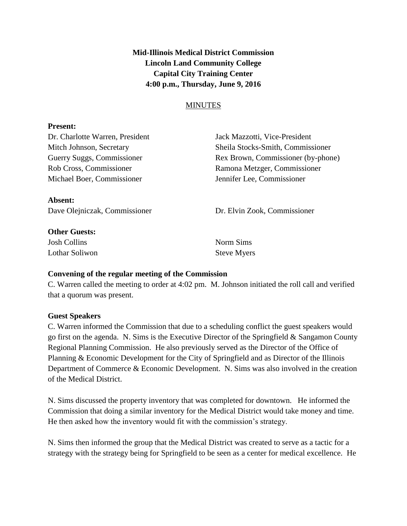**Mid-Illinois Medical District Commission Lincoln Land Community College Capital City Training Center 4:00 p.m., Thursday, June 9, 2016**

## **MINUTES**

#### **Present:**

Michael Boer, Commissioner Jennifer Lee, Commissioner

Dr. Charlotte Warren, President Jack Mazzotti, Vice-President Mitch Johnson, Secretary Sheila Stocks-Smith, Commissioner Guerry Suggs, Commissioner Rex Brown, Commissioner (by-phone) Rob Cross, Commissioner Ramona Metzger, Commissioner

**Absent:**

**Other Guests:**

Josh Collins Norm Sims Lothar Soliwon Steve Myers

Dave Olejniczak, Commissioner Dr. Elvin Zook, Commissioner

### **Convening of the regular meeting of the Commission**

C. Warren called the meeting to order at 4:02 pm. M. Johnson initiated the roll call and verified that a quorum was present.

### **Guest Speakers**

C. Warren informed the Commission that due to a scheduling conflict the guest speakers would go first on the agenda. N. Sims is the Executive Director of the Springfield & Sangamon County Regional Planning Commission. He also previously served as the Director of the Office of Planning & Economic Development for the City of Springfield and as Director of the Illinois Department of Commerce & Economic Development. N. Sims was also involved in the creation of the Medical District.

N. Sims discussed the property inventory that was completed for downtown. He informed the Commission that doing a similar inventory for the Medical District would take money and time. He then asked how the inventory would fit with the commission's strategy.

N. Sims then informed the group that the Medical District was created to serve as a tactic for a strategy with the strategy being for Springfield to be seen as a center for medical excellence. He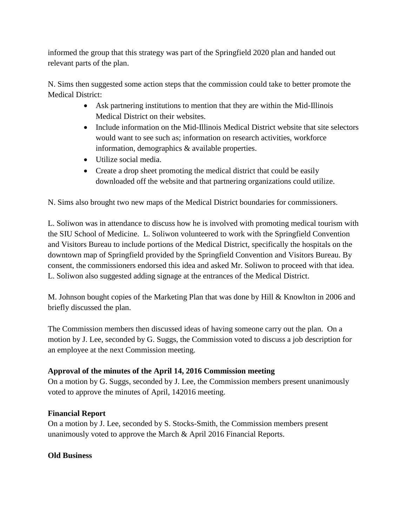informed the group that this strategy was part of the Springfield 2020 plan and handed out relevant parts of the plan.

N. Sims then suggested some action steps that the commission could take to better promote the Medical District:

- Ask partnering institutions to mention that they are within the Mid-Illinois Medical District on their websites.
- Include information on the Mid-Illinois Medical District website that site selectors would want to see such as; information on research activities, workforce information, demographics & available properties.
- Utilize social media.
- Create a drop sheet promoting the medical district that could be easily downloaded off the website and that partnering organizations could utilize.

N. Sims also brought two new maps of the Medical District boundaries for commissioners.

L. Soliwon was in attendance to discuss how he is involved with promoting medical tourism with the SIU School of Medicine. L. Soliwon volunteered to work with the Springfield Convention and Visitors Bureau to include portions of the Medical District, specifically the hospitals on the downtown map of Springfield provided by the Springfield Convention and Visitors Bureau. By consent, the commissioners endorsed this idea and asked Mr. Soliwon to proceed with that idea. L. Soliwon also suggested adding signage at the entrances of the Medical District.

M. Johnson bought copies of the Marketing Plan that was done by Hill & Knowlton in 2006 and briefly discussed the plan.

The Commission members then discussed ideas of having someone carry out the plan. On a motion by J. Lee, seconded by G. Suggs, the Commission voted to discuss a job description for an employee at the next Commission meeting.

# **Approval of the minutes of the April 14, 2016 Commission meeting**

On a motion by G. Suggs, seconded by J. Lee, the Commission members present unanimously voted to approve the minutes of April, 142016 meeting.

# **Financial Report**

On a motion by J. Lee, seconded by S. Stocks-Smith, the Commission members present unanimously voted to approve the March & April 2016 Financial Reports.

# **Old Business**